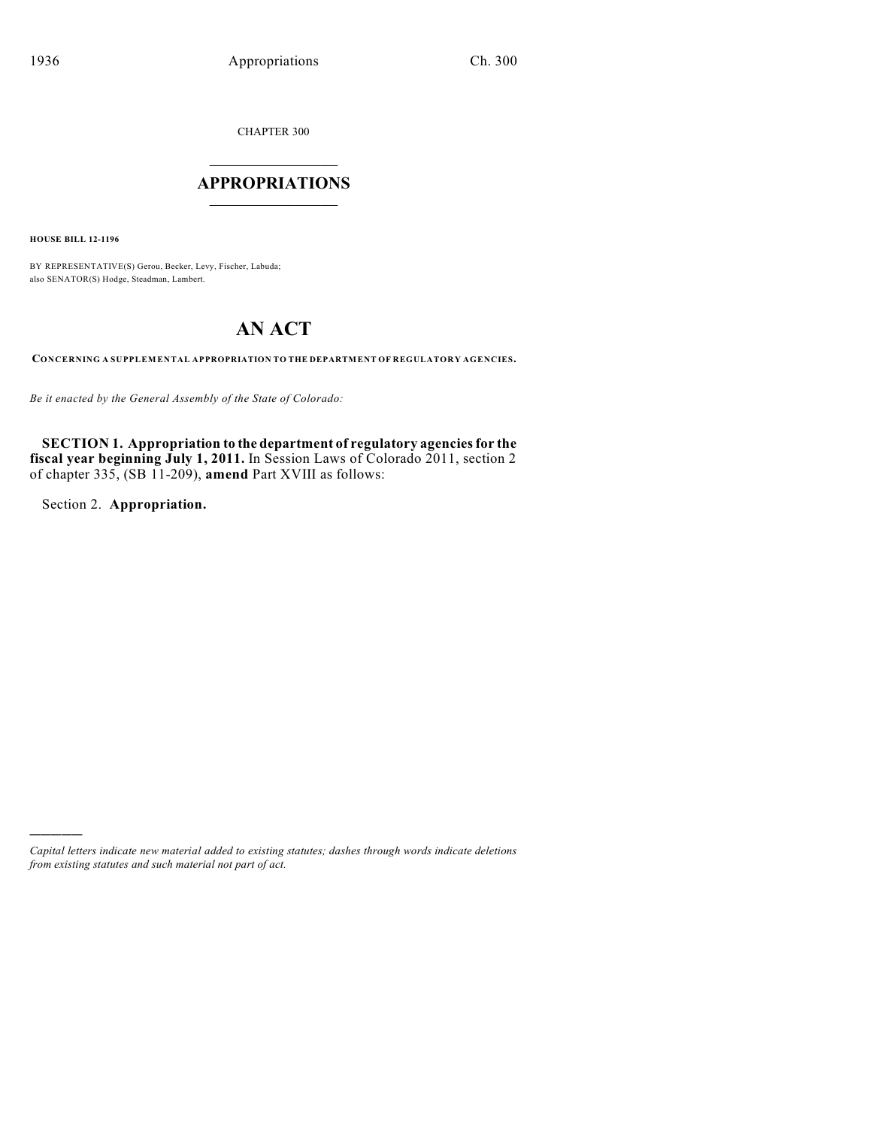CHAPTER 300

## $\mathcal{L}_\text{max}$  . The set of the set of the set of the set of the set of the set of the set of the set of the set of the set of the set of the set of the set of the set of the set of the set of the set of the set of the set **APPROPRIATIONS**  $\_$   $\_$   $\_$   $\_$   $\_$   $\_$   $\_$   $\_$

**HOUSE BILL 12-1196**

BY REPRESENTATIVE(S) Gerou, Becker, Levy, Fischer, Labuda; also SENATOR(S) Hodge, Steadman, Lambert.

# **AN ACT**

**CONCERNING A SUPPLEMENTAL APPROPRIATION TO THE DEPARTMENT OF REGULATORY AGENCIES.**

*Be it enacted by the General Assembly of the State of Colorado:*

**SECTION 1. Appropriation to the department of regulatory agenciesfor the fiscal year beginning July 1, 2011.** In Session Laws of Colorado 2011, section 2 of chapter 335, (SB 11-209), **amend** Part XVIII as follows:

Section 2. **Appropriation.**

)))))

*Capital letters indicate new material added to existing statutes; dashes through words indicate deletions from existing statutes and such material not part of act.*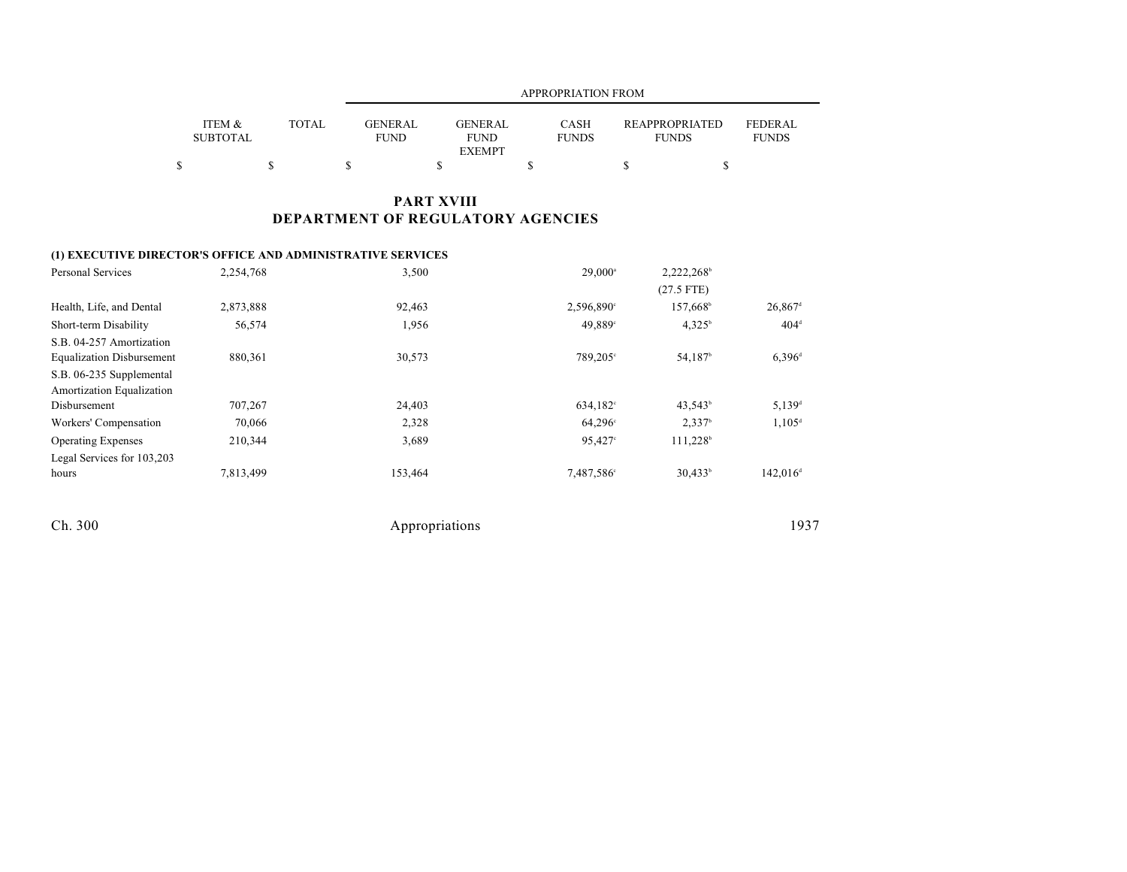|                           |              |                        | <b>APPROPRIATION FROM</b>                      |                             |                                       |                                |  |  |  |  |
|---------------------------|--------------|------------------------|------------------------------------------------|-----------------------------|---------------------------------------|--------------------------------|--|--|--|--|
| ITEM &<br><b>SUBTOTAL</b> | <b>TOTAL</b> | GENERAL<br><b>FUND</b> | <b>GENERAL</b><br><b>FUND</b><br><b>EXEMPT</b> | <b>CASH</b><br><b>FUNDS</b> | <b>REAPPROPRIATED</b><br><b>FUNDS</b> | <b>FEDERAL</b><br><b>FUNDS</b> |  |  |  |  |
|                           |              |                        |                                                |                             |                                       |                                |  |  |  |  |

## **PART XVIII DEPARTMENT OF REGULATORY AGENCIES**

### **(1) EXECUTIVE DIRECTOR'S OFFICE AND ADMINISTRATIVE SERVICES**

| <b>Personal Services</b>         | 2,254,768 | 3,500   | $29,000^{\circ}$     | 2,222,268              |                       |
|----------------------------------|-----------|---------|----------------------|------------------------|-----------------------|
|                                  |           |         |                      | $(27.5$ FTE)           |                       |
| Health, Life, and Dental         | 2,873,888 | 92,463  | 2,596,890°           | 157,668 <sup>b</sup>   | $26,867$ <sup>d</sup> |
| Short-term Disability            | 56,574    | 1,956   | 49,889°              | 4.325 <sup>b</sup>     | $404^{\text{d}}$      |
| S.B. 04-257 Amortization         |           |         |                      |                        |                       |
| <b>Equalization Disbursement</b> | 880,361   | 30,573  | 789,205°             | 54,187 <sup>b</sup>    | $6,396^{\rm d}$       |
| S.B. 06-235 Supplemental         |           |         |                      |                        |                       |
| Amortization Equalization        |           |         |                      |                        |                       |
| Disbursement                     | 707,267   | 24,403  | 634,182 <sup>c</sup> | 43,543 <sup>b</sup>    | $5.139$ <sup>d</sup>  |
| Workers' Compensation            | 70,066    | 2,328   | $64,296^{\circ}$     | 2,337 <sup>b</sup>     | $1.105^{\text{d}}$    |
| <b>Operating Expenses</b>        | 210,344   | 3,689   | 95,427°              | $111,228$ <sup>b</sup> |                       |
| Legal Services for 103,203       |           |         |                      |                        |                       |
| hours                            | 7,813,499 | 153,464 | 7,487,586°           | $30,433^b$             | $142,016^{\circ}$     |
|                                  |           |         |                      |                        |                       |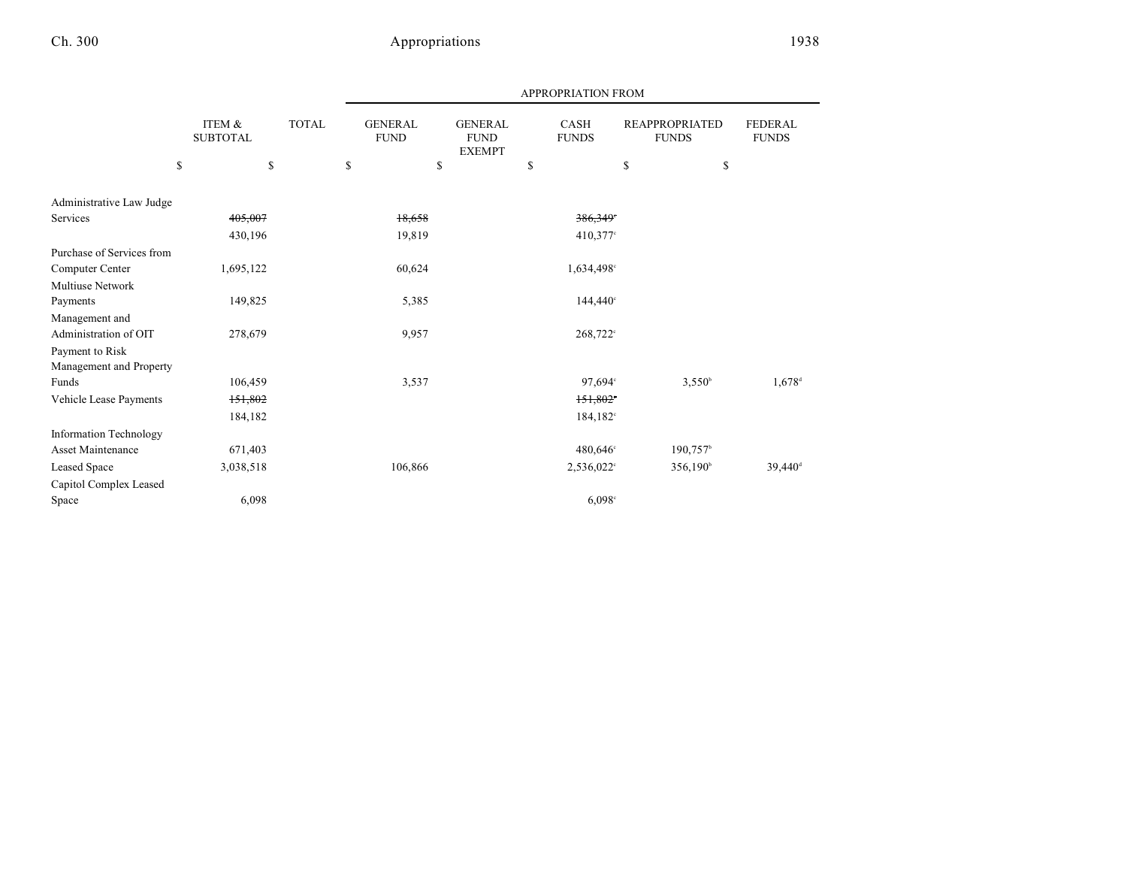|                           |                           |              |    |                               |    |                                                                        |    | <b>APPROPRIATION FROM</b> |                                       |                        |                                |
|---------------------------|---------------------------|--------------|----|-------------------------------|----|------------------------------------------------------------------------|----|---------------------------|---------------------------------------|------------------------|--------------------------------|
|                           | ITEM &<br><b>SUBTOTAL</b> | <b>TOTAL</b> |    | <b>GENERAL</b><br><b>FUND</b> |    | <b>GENERAL</b><br>CASH<br><b>FUND</b><br><b>FUNDS</b><br><b>EXEMPT</b> |    |                           | <b>REAPPROPRIATED</b><br><b>FUNDS</b> |                        | <b>FEDERAL</b><br><b>FUNDS</b> |
|                           | \$                        | \$           | \$ |                               | \$ |                                                                        | \$ |                           | \$                                    | \$                     |                                |
| Administrative Law Judge  |                           |              |    |                               |    |                                                                        |    |                           |                                       |                        |                                |
| Services                  | 405,007                   |              |    | 18,658                        |    |                                                                        |    | $386,349$ <sup>*</sup>    |                                       |                        |                                |
|                           | 430,196                   |              |    | 19,819                        |    |                                                                        |    | $410,377$ °               |                                       |                        |                                |
| Purchase of Services from |                           |              |    |                               |    |                                                                        |    |                           |                                       |                        |                                |
| Computer Center           | 1,695,122                 |              |    | 60,624                        |    |                                                                        |    | 1,634,498°                |                                       |                        |                                |
| <b>Multiuse Network</b>   |                           |              |    |                               |    |                                                                        |    |                           |                                       |                        |                                |
| Payments                  | 149,825                   |              |    | 5,385                         |    |                                                                        |    | $144,440^\circ$           |                                       |                        |                                |
| Management and            |                           |              |    |                               |    |                                                                        |    |                           |                                       |                        |                                |
| Administration of OIT     | 278,679                   |              |    | 9,957                         |    |                                                                        |    | 268,722°                  |                                       |                        |                                |
| Payment to Risk           |                           |              |    |                               |    |                                                                        |    |                           |                                       |                        |                                |
| Management and Property   |                           |              |    |                               |    |                                                                        |    |                           |                                       |                        |                                |
| Funds                     | 106,459                   |              |    | 3,537                         |    |                                                                        |    | 97,694°                   |                                       | $3,550^{\circ}$        | $1,678$ <sup>d</sup>           |
| Vehicle Lease Payments    | 151,802                   |              |    |                               |    |                                                                        |    | 151,802                   |                                       |                        |                                |
|                           | 184,182                   |              |    |                               |    |                                                                        |    | 184,182 <sup>c</sup>      |                                       |                        |                                |
| Information Technology    |                           |              |    |                               |    |                                                                        |    |                           |                                       |                        |                                |
| <b>Asset Maintenance</b>  | 671,403                   |              |    |                               |    |                                                                        |    | 480,646°                  |                                       | $190,757$ <sup>b</sup> |                                |
| Leased Space              | 3,038,518                 |              |    | 106,866                       |    |                                                                        |    | 2,536,022°                |                                       | 356,190 <sup>b</sup>   | $39,440$ <sup>d</sup>          |
| Capitol Complex Leased    |                           |              |    |                               |    |                                                                        |    |                           |                                       |                        |                                |
| Space                     | 6,098                     |              |    |                               |    |                                                                        |    | 6,098°                    |                                       |                        |                                |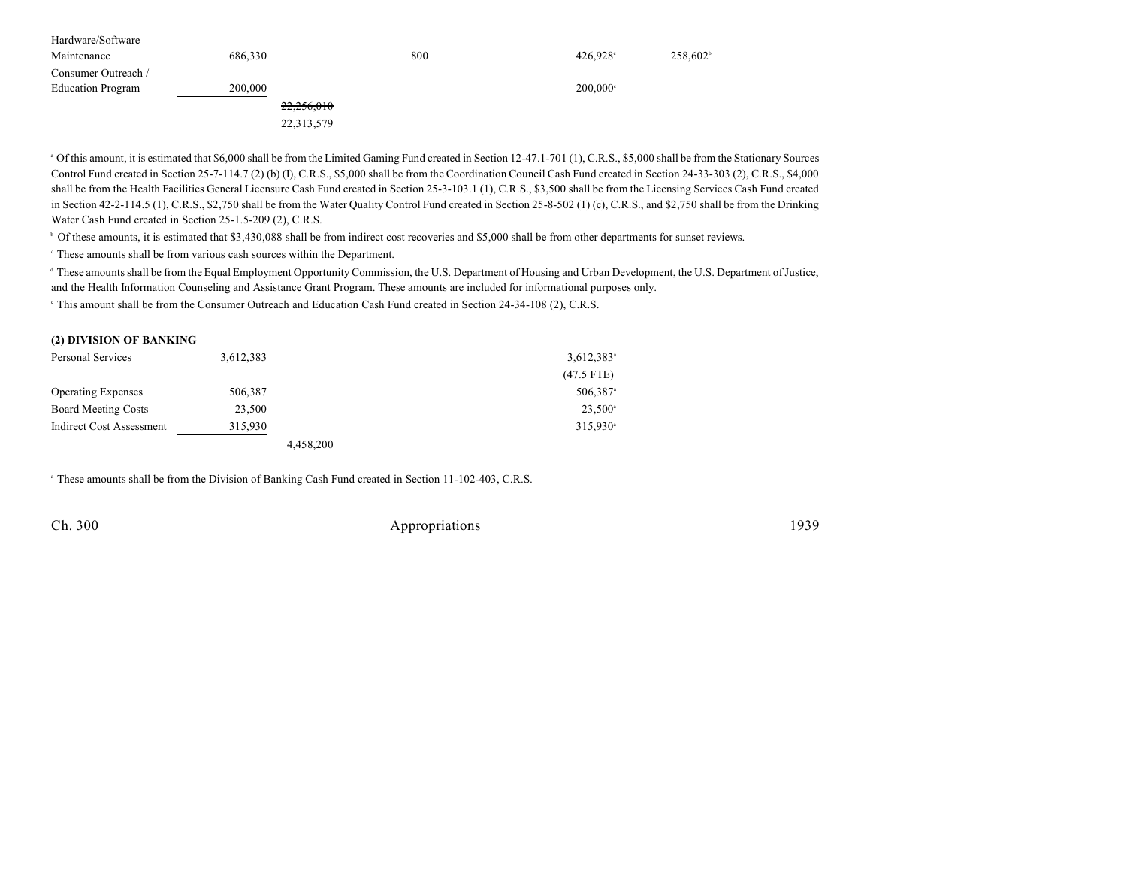| Hardware/Software        |         |            |     |                        |                   |
|--------------------------|---------|------------|-----|------------------------|-------------------|
| Maintenance              | 686,330 |            | 800 | $426.928$ °            | $258,602^{\circ}$ |
| Consumer Outreach /      |         |            |     |                        |                   |
| <b>Education Program</b> | 200,000 |            |     | $200.000$ <sup>c</sup> |                   |
|                          |         | 22,256,010 |     |                        |                   |
|                          |         | 22,313,579 |     |                        |                   |

<sup>a</sup> Of this amount, it is estimated that \$6,000 shall be from the Limited Gaming Fund created in Section 12-47.1-701 (1), C.R.S., \$5,000 shall be from the Stationary Sources Control Fund created in Section 25-7-114.7 (2) (b) (I), C.R.S., \$5,000 shall be from the Coordination Council Cash Fund created in Section 24-33-303 (2), C.R.S., \$4,000 shall be from the Health Facilities General Licensure Cash Fund created in Section 25-3-103.1 (1), C.R.S., \$3,500 shall be from the Licensing Services Cash Fund created in Section 42-2-114.5 (1), C.R.S., \$2,750 shall be from the Water Quality Control Fund created in Section 25-8-502 (1) (c), C.R.S., and \$2,750 shall be from the Drinking Water Cash Fund created in Section 25-1.5-209 (2), C.R.S.

Of these amounts, it is estimated that \$3,430,088 shall be from indirect cost recoveries and \$5,000 shall be from other departments for sunset reviews. <sup>b</sup>

These amounts shall be from various cash sources within the Department. <sup>c</sup>

<sup>d</sup> These amounts shall be from the Equal Employment Opportunity Commission, the U.S. Department of Housing and Urban Development, the U.S. Department of Justice, and the Health Information Counseling and Assistance Grant Program. These amounts are included for informational purposes only.

<sup>e</sup> This amount shall be from the Consumer Outreach and Education Cash Fund created in Section 24-34-108 (2), C.R.S.

| Personal Services               | 3,612,383 |           | $3,612,383$ <sup>a</sup> |
|---------------------------------|-----------|-----------|--------------------------|
|                                 |           |           | $(47.5$ FTE)             |
| <b>Operating Expenses</b>       | 506,387   |           | 506,387 <sup>a</sup>     |
| <b>Board Meeting Costs</b>      | 23,500    |           | $23,500^{\circ}$         |
| <b>Indirect Cost Assessment</b> | 315,930   |           | $315,930$ <sup>a</sup>   |
|                                 |           | 4,458,200 |                          |

<sup>a</sup> These amounts shall be from the Division of Banking Cash Fund created in Section 11-102-403, C.R.S.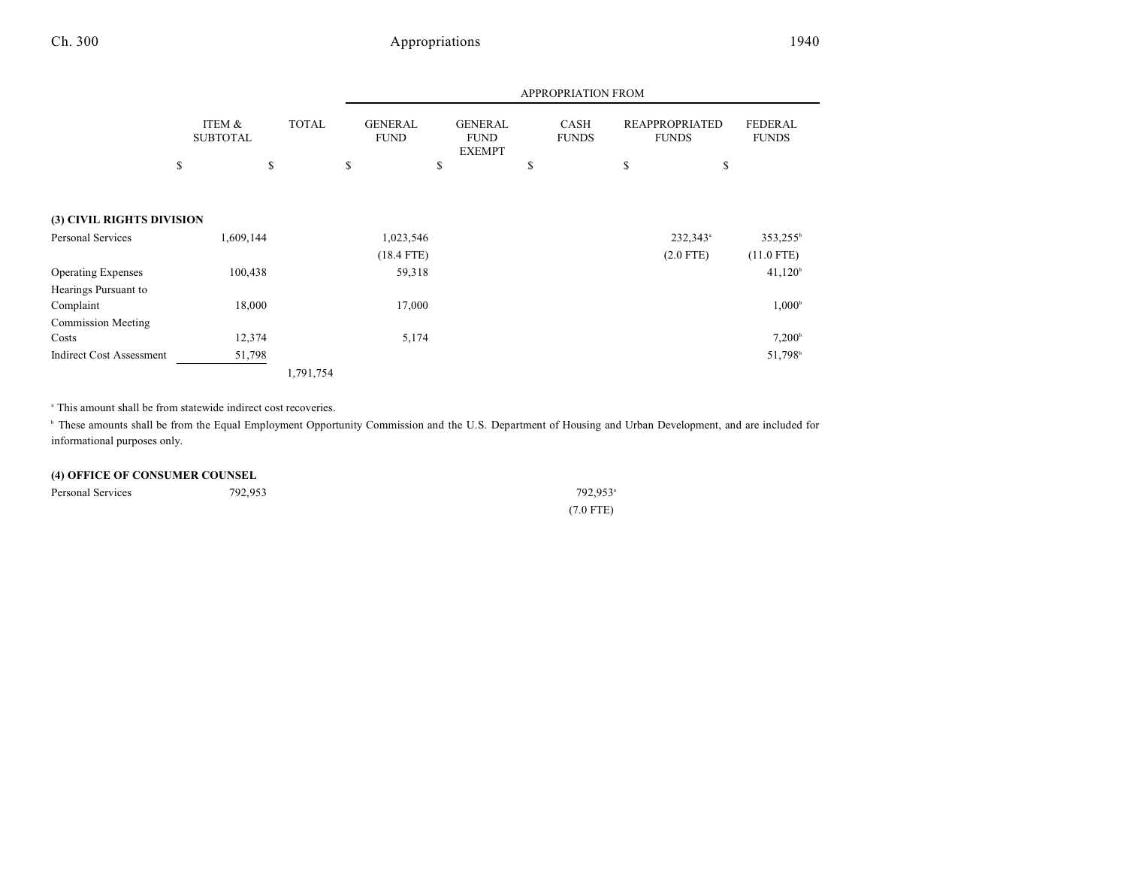|--|--|--|--|--|

|                                 |                           |              |                               | APPROPRIATION FROM |                                                |  |                             |  |                                       |                                |                      |
|---------------------------------|---------------------------|--------------|-------------------------------|--------------------|------------------------------------------------|--|-----------------------------|--|---------------------------------------|--------------------------------|----------------------|
|                                 | ITEM &<br><b>SUBTOTAL</b> | <b>TOTAL</b> | <b>GENERAL</b><br><b>FUND</b> |                    | <b>GENERAL</b><br><b>FUND</b><br><b>EXEMPT</b> |  | <b>CASH</b><br><b>FUNDS</b> |  | <b>REAPPROPRIATED</b><br><b>FUNDS</b> | <b>FEDERAL</b><br><b>FUNDS</b> |                      |
|                                 | \$<br>\$                  |              | \$                            |                    | \$                                             |  | \$                          |  | \$                                    | \$                             |                      |
| (3) CIVIL RIGHTS DIVISION       |                           |              |                               |                    |                                                |  |                             |  |                                       |                                |                      |
| Personal Services               | 1,609,144                 |              |                               | 1,023,546          |                                                |  |                             |  |                                       | 232,343 <sup>a</sup>           | 353,255 <sup>b</sup> |
|                                 |                           |              |                               | $(18.4$ FTE)       |                                                |  |                             |  |                                       | $(2.0$ FTE)                    | $(11.0$ FTE)         |
| <b>Operating Expenses</b>       | 100,438                   |              |                               | 59,318             |                                                |  |                             |  |                                       |                                | 41,120 <sup>b</sup>  |
| Hearings Pursuant to            |                           |              |                               |                    |                                                |  |                             |  |                                       |                                |                      |
| Complaint                       | 18,000                    |              |                               | 17,000             |                                                |  |                             |  |                                       |                                | $1,000^{\circ}$      |
| <b>Commission Meeting</b>       |                           |              |                               |                    |                                                |  |                             |  |                                       |                                |                      |
| Costs                           | 12,374                    |              |                               | 5,174              |                                                |  |                             |  |                                       |                                | $7,200^{\circ}$      |
| <b>Indirect Cost Assessment</b> | 51,798                    |              |                               |                    |                                                |  |                             |  |                                       |                                | 51,798 <sup>b</sup>  |
|                                 |                           | 1,791,754    |                               |                    |                                                |  |                             |  |                                       |                                |                      |

<sup>a</sup> This amount shall be from statewide indirect cost recoveries.

<sup>b</sup> These amounts shall be from the Equal Employment Opportunity Commission and the U.S. Department of Housing and Urban Development, and are included for informational purposes only.

### **(4) OFFICE OF CONSUMER COUNSEL**

| Personal Services | 792,953 | 792.953 <sup>a</sup> |
|-------------------|---------|----------------------|
|                   |         | $(7.0$ FTE)          |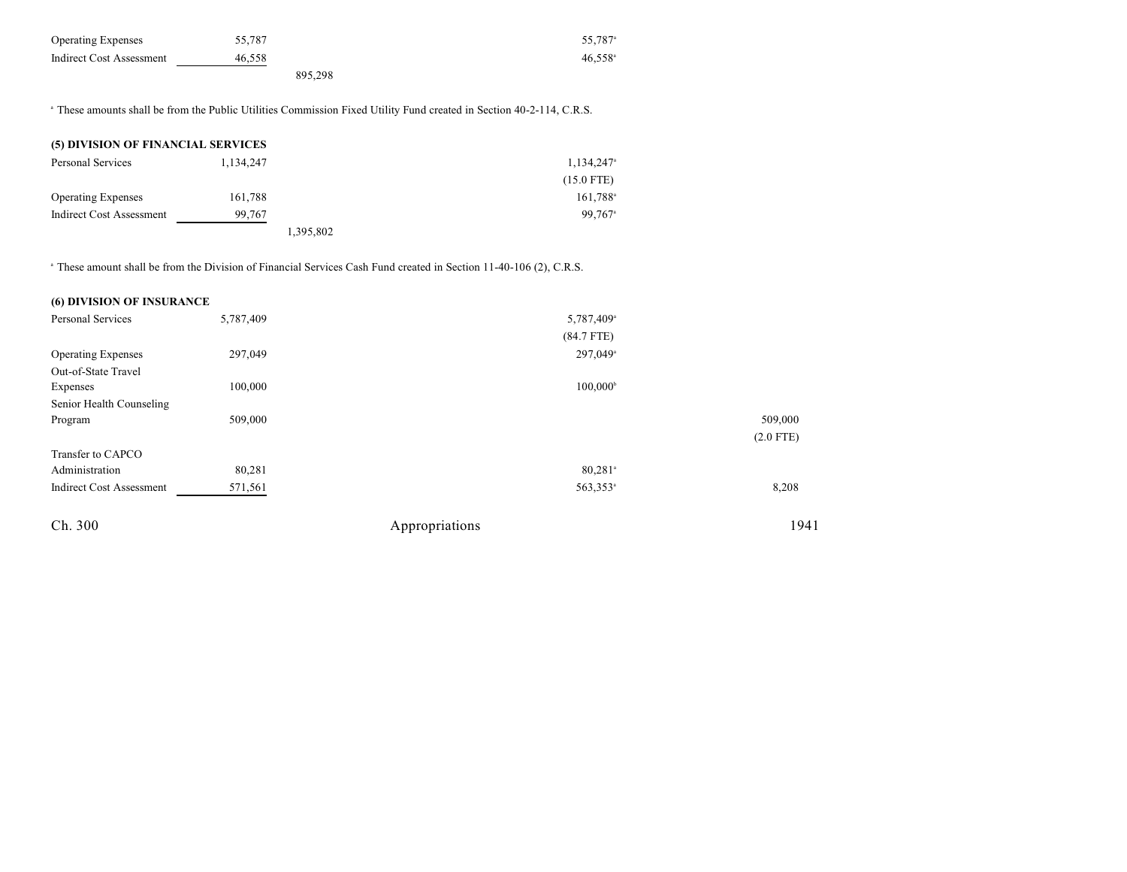| <b>Operating Expenses</b> | 55.787 |         | 55.787 <sup>a</sup> |
|---------------------------|--------|---------|---------------------|
| Indirect Cost Assessment  | 46.558 |         | $46.558^{\circ}$    |
|                           |        | 895.298 |                     |

<sup>a</sup> These amounts shall be from the Public Utilities Commission Fixed Utility Fund created in Section 40-2-114, C.R.S.

| (5) DIVISION OF FINANCIAL SERVICES |           |           |                          |
|------------------------------------|-----------|-----------|--------------------------|
| Personal Services                  | 1.134.247 |           | $1,134,247$ <sup>a</sup> |
|                                    |           |           | $(15.0$ FTE)             |
| <b>Operating Expenses</b>          | 161,788   |           | $161,788^{\circ}$        |
| <b>Indirect Cost Assessment</b>    | 99,767    |           | 99.767 <sup>a</sup>      |
|                                    |           | 1,395,802 |                          |

<sup>a</sup> These amount shall be from the Division of Financial Services Cash Fund created in Section 11-40-106 (2), C.R.S.

## **(6) DIVISION OF INSURANCE**

| <b>Personal Services</b>        | 5,787,409 | 5,787,409 <sup>a</sup> |             |
|---------------------------------|-----------|------------------------|-------------|
|                                 |           | $(84.7$ FTE)           |             |
| <b>Operating Expenses</b>       | 297,049   | 297,049 <sup>a</sup>   |             |
| Out-of-State Travel             |           |                        |             |
| Expenses                        | 100,000   | $100,000^{\circ}$      |             |
| Senior Health Counseling        |           |                        |             |
| Program                         | 509,000   |                        | 509,000     |
|                                 |           |                        | $(2.0$ FTE) |
| Transfer to CAPCO               |           |                        |             |
| Administration                  | 80,281    | $80,281$ <sup>a</sup>  |             |
| <b>Indirect Cost Assessment</b> | 571,561   | 563,353 <sup>a</sup>   | 8,208       |
| Ch. 300                         |           | Appropriations         | 1941        |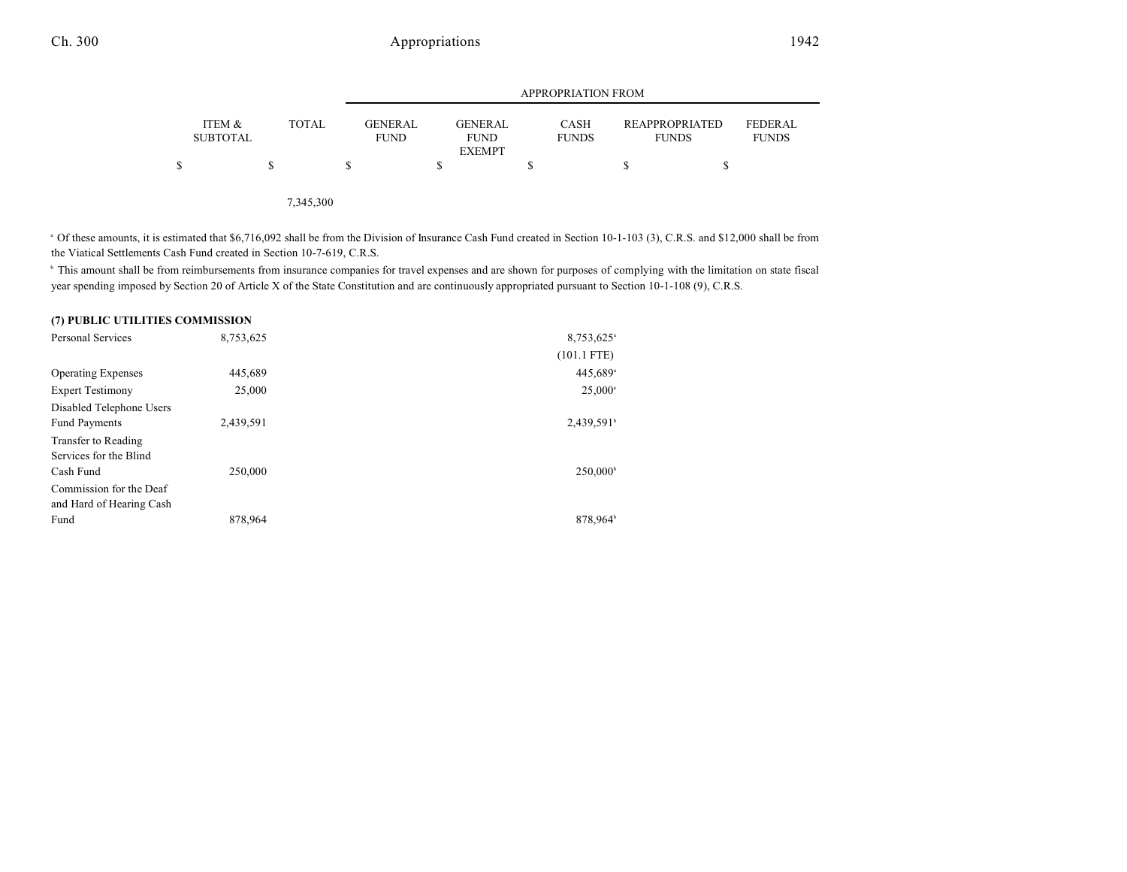|                           |              |                               | <b>APPROPRIATION FROM</b>                      |                             |                                |                                |  |  |  |
|---------------------------|--------------|-------------------------------|------------------------------------------------|-----------------------------|--------------------------------|--------------------------------|--|--|--|
| ITEM &<br><b>SUBTOTAL</b> | <b>TOTAL</b> | <b>GENERAL</b><br><b>FUND</b> | <b>GENERAL</b><br><b>FUND</b><br><b>EXEMPT</b> | <b>CASH</b><br><b>FUNDS</b> | REAPPROPRIATED<br><b>FUNDS</b> | <b>FEDERAL</b><br><b>FUNDS</b> |  |  |  |
| S                         | S            |                               |                                                | S                           |                                |                                |  |  |  |

7,345,300

<sup>a</sup> Of these amounts, it is estimated that \$6,716,092 shall be from the Division of Insurance Cash Fund created in Section 10-1-103 (3), C.R.S. and \$12,000 shall be from the Viatical Settlements Cash Fund created in Section 10-7-619, C.R.S.

<sup>b</sup> This amount shall be from reimbursements from insurance companies for travel expenses and are shown for purposes of complying with the limitation on state fiscal year spending imposed by Section 20 of Article X of the State Constitution and are continuously appropriated pursuant to Section 10-1-108 (9), C.R.S.

#### **(7) PUBLIC UTILITIES COMMISSION**

| <b>Personal Services</b>  | 8,753,625 | 8,753,625 <sup>a</sup> |
|---------------------------|-----------|------------------------|
|                           |           | $(101.1$ FTE)          |
| <b>Operating Expenses</b> | 445,689   | 445,689 <sup>a</sup>   |
| <b>Expert Testimony</b>   | 25,000    | $25,000^{\circ}$       |
| Disabled Telephone Users  |           |                        |
| <b>Fund Payments</b>      | 2,439,591 | $2,439,591^{\circ}$    |
| Transfer to Reading       |           |                        |
| Services for the Blind    |           |                        |
| Cash Fund                 | 250,000   | 250,000 <sup>b</sup>   |
| Commission for the Deaf   |           |                        |
| and Hard of Hearing Cash  |           |                        |
| Fund                      | 878.964   | 878.964 <sup>b</sup>   |
|                           |           |                        |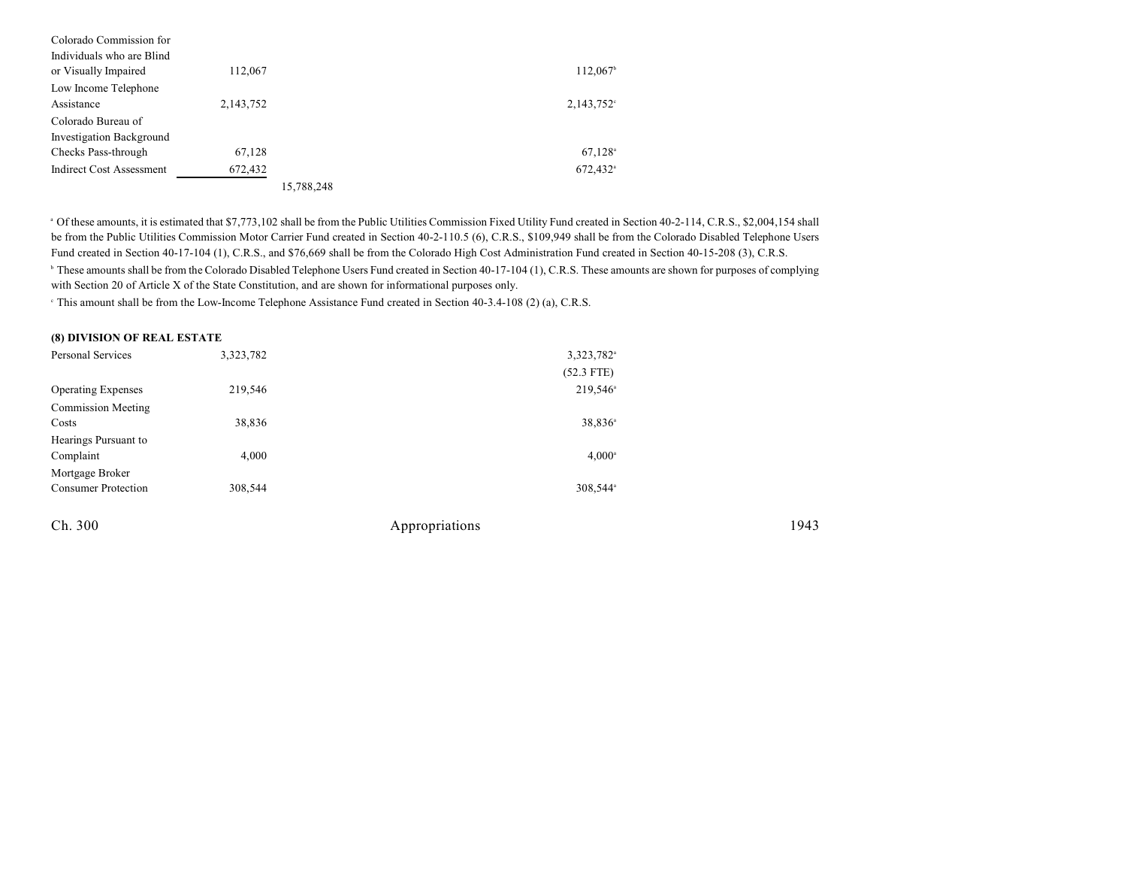| Colorado Commission for         |           |            |                        |
|---------------------------------|-----------|------------|------------------------|
| Individuals who are Blind       |           |            |                        |
| or Visually Impaired            | 112,067   |            | $112,067$ <sup>b</sup> |
| Low Income Telephone            |           |            |                        |
| Assistance                      | 2,143,752 |            | $2,143,752$ °          |
| Colorado Bureau of              |           |            |                        |
| <b>Investigation Background</b> |           |            |                        |
| Checks Pass-through             | 67,128    |            | $67,128$ <sup>a</sup>  |
| Indirect Cost Assessment        | 672,432   |            | 672,432 <sup>a</sup>   |
|                                 |           | 15,788,248 |                        |

<sup>a</sup> Of these amounts, it is estimated that \$7,773,102 shall be from the Public Utilities Commission Fixed Utility Fund created in Section 40-2-114, C.R.S., \$2,004,154 shall be from the Public Utilities Commission Motor Carrier Fund created in Section 40-2-110.5 (6), C.R.S., \$109,949 shall be from the Colorado Disabled Telephone Users Fund created in Section 40-17-104 (1), C.R.S., and \$76,669 shall be from the Colorado High Cost Administration Fund created in Section 40-15-208 (3), C.R.S. <sup>6</sup> These amounts shall be from the Colorado Disabled Telephone Users Fund created in Section 40-17-104 (1), C.R.S. These amounts are shown for purposes of complying with Section 20 of Article X of the State Constitution, and are shown for informational purposes only.

<sup>e</sup> This amount shall be from the Low-Income Telephone Assistance Fund created in Section 40-3.4-108 (2) (a), C.R.S.

| (8) DIVISION OF REAL ESTATE |  |  |
|-----------------------------|--|--|
|-----------------------------|--|--|

| Personal Services          | 3,323,782 | 3,323,782 <sup>a</sup> |      |
|----------------------------|-----------|------------------------|------|
|                            |           | $(52.3$ FTE)           |      |
| <b>Operating Expenses</b>  | 219,546   | 219,546 <sup>a</sup>   |      |
| <b>Commission Meeting</b>  |           |                        |      |
| Costs                      | 38,836    | 38,836 <sup>a</sup>    |      |
| Hearings Pursuant to       |           |                        |      |
| Complaint                  | 4,000     | $4,000^{\circ}$        |      |
| Mortgage Broker            |           |                        |      |
| <b>Consumer Protection</b> | 308,544   | 308,544 <sup>a</sup>   |      |
| Ch. 300                    |           | Appropriations         | 1943 |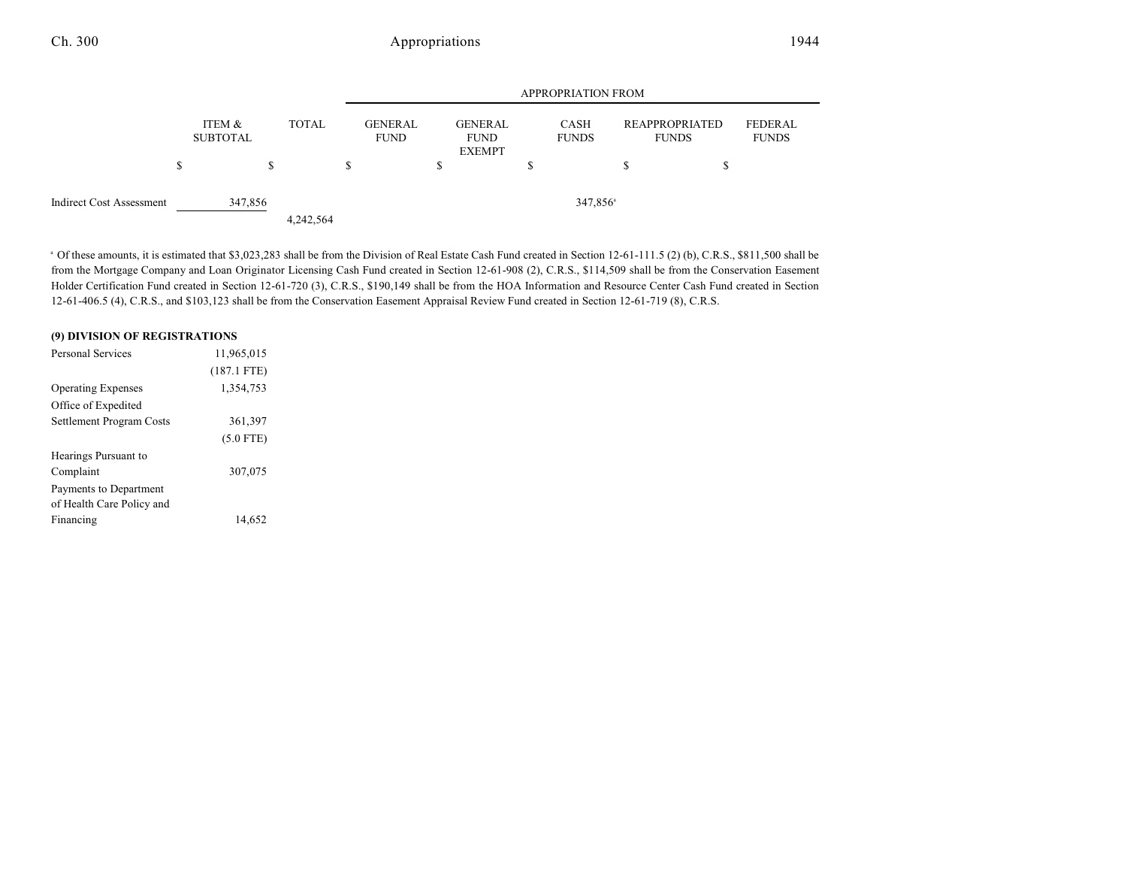|--|--|--|--|--|--|

|                                 |   |                           |    |              | <b>APPROPRIATION FROM</b> |   |                                                |   |                      |                                           |                         |
|---------------------------------|---|---------------------------|----|--------------|---------------------------|---|------------------------------------------------|---|----------------------|-------------------------------------------|-------------------------|
|                                 | S | ITEM &<br><b>SUBTOTAL</b> | ٠D | <b>TOTAL</b> | GENERAL<br><b>FUND</b>    | S | <b>GENERAL</b><br><b>FUND</b><br><b>EXEMPT</b> | S | CASH<br><b>FUNDS</b> | \$<br>REAPPROPRIATED<br><b>FUNDS</b><br>Ф | FEDERAL<br><b>FUNDS</b> |
| <b>Indirect Cost Assessment</b> |   | 347,856                   |    | 4,242,564    |                           |   |                                                |   | 347,856 <sup>a</sup> |                                           |                         |

<sup>a</sup> Of these amounts, it is estimated that \$3,023,283 shall be from the Division of Real Estate Cash Fund created in Section 12-61-111.5 (2) (b), C.R.S., \$811,500 shall be from the Mortgage Company and Loan Originator Licensing Cash Fund created in Section 12-61-908 (2), C.R.S., \$114,509 shall be from the Conservation Easement Holder Certification Fund created in Section 12-61-720 (3), C.R.S., \$190,149 shall be from the HOA Information and Resource Center Cash Fund created in Section 12-61-406.5 (4), C.R.S., and \$103,123 shall be from the Conservation Easement Appraisal Review Fund created in Section 12-61-719 (8), C.R.S.

#### **(9) DIVISION OF REGISTRATIONS**

| Personal Services         | 11,965,015    |  |
|---------------------------|---------------|--|
|                           | $(187.1$ FTE) |  |
| <b>Operating Expenses</b> | 1,354,753     |  |
| Office of Expedited       |               |  |
| Settlement Program Costs  | 361,397       |  |
|                           | $(5.0$ FTE)   |  |
| Hearings Pursuant to      |               |  |
| Complaint                 | 307,075       |  |
| Payments to Department    |               |  |
| of Health Care Policy and |               |  |
| Financing                 | 14.652        |  |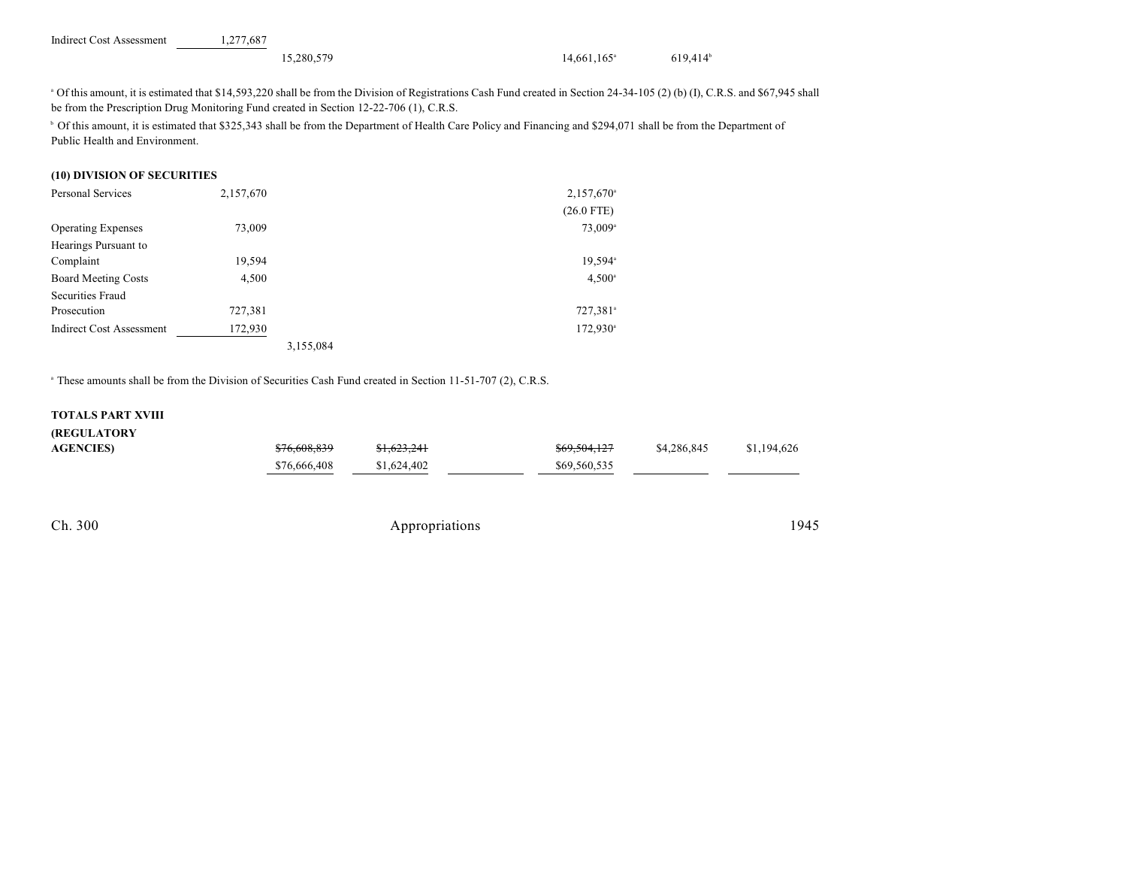| <b>Indirect Cost Assessment</b> | 1.277.687  |                           |                        |
|---------------------------------|------------|---------------------------|------------------------|
|                                 | 15.280.579 | $14,661,165$ <sup>a</sup> | $619,414$ <sup>b</sup> |

Of this amount, it is estimated that \$14,593,220 shall be from the Division of Registrations Cash Fund created in Section 24-34-105 (2) (b) (I), C.R.S. and \$67,945 shall <sup>a</sup> be from the Prescription Drug Monitoring Fund created in Section 12-22-706 (1), C.R.S.

<sup>b</sup> Of this amount, it is estimated that \$325,343 shall be from the Department of Health Care Policy and Financing and \$294,071 shall be from the Department of Public Health and Environment.

### **(10) DIVISION OF SECURITIES**

| <b>Personal Services</b>        | 2,157,670 |           | $2,157,670$ <sup>a</sup> |
|---------------------------------|-----------|-----------|--------------------------|
|                                 |           |           | $(26.0$ FTE)             |
| <b>Operating Expenses</b>       | 73,009    |           | 73,009 <sup>a</sup>      |
| Hearings Pursuant to            |           |           |                          |
| Complaint                       | 19,594    |           | 19,594 <sup>a</sup>      |
| <b>Board Meeting Costs</b>      | 4,500     |           | $4,500^{\circ}$          |
| Securities Fraud                |           |           |                          |
| Prosecution                     | 727,381   |           | 727,381 <sup>a</sup>     |
| <b>Indirect Cost Assessment</b> | 172,930   |           | $172,930$ <sup>a</sup>   |
|                                 |           | 3,155,084 |                          |

<sup>a</sup> These amounts shall be from the Division of Securities Cash Fund created in Section 11-51-707 (2), C.R.S.

#### **TOTALS PART XVIII**

| <b>(REGULATORY</b> |              |             |              |             |             |
|--------------------|--------------|-------------|--------------|-------------|-------------|
| <b>AGENCIES)</b>   | \$76,608,839 | \$1,623,241 | \$69,504,127 | \$4,286,845 | \$1,194,626 |
|                    | \$76,666,408 | \$1,624,402 | \$69,560,535 |             |             |
|                    |              |             |              |             |             |
|                    |              |             |              |             |             |